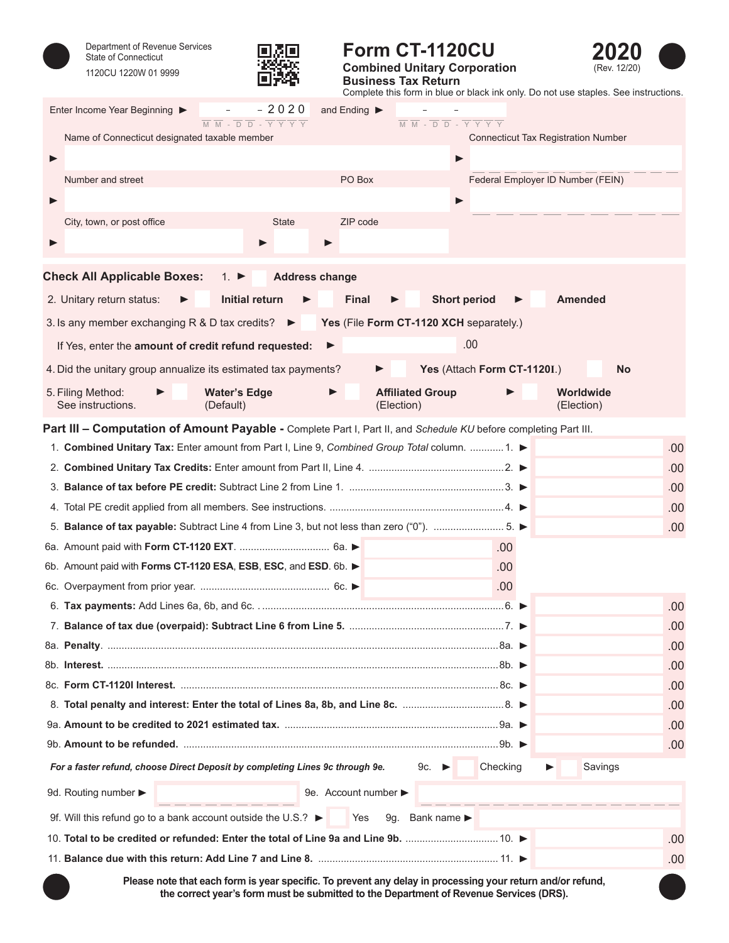



## **Form CT-1120CU Combined Unitary Corporation**



**Business Tax Return** Complete this form in blue or black ink only. Do not use staples. See instructions.

| Enter Income Year Beginning ▶<br>$\overline{M}$ $\overline{M}$ - $\overline{D}$ $\overline{D}$ - $\overline{Y}$ $\overline{Y}$ $\overline{Y}$ $\overline{Y}$ | $-2020$               | and Ending ▶       |                                       | $\overline{M} \ \overline{M} - \overline{D} \ \overline{D} - \overline{Y} \ \overline{Y} \ \overline{Y} \ \overline{Y}$ |          |                                            |     |
|--------------------------------------------------------------------------------------------------------------------------------------------------------------|-----------------------|--------------------|---------------------------------------|-------------------------------------------------------------------------------------------------------------------------|----------|--------------------------------------------|-----|
| Name of Connecticut designated taxable member                                                                                                                |                       |                    |                                       |                                                                                                                         |          | <b>Connecticut Tax Registration Number</b> |     |
|                                                                                                                                                              |                       |                    |                                       | ▶                                                                                                                       |          |                                            |     |
| Number and street                                                                                                                                            |                       | PO Box             |                                       |                                                                                                                         |          | Federal Employer ID Number (FEIN)          |     |
|                                                                                                                                                              |                       |                    |                                       | ▶                                                                                                                       |          |                                            |     |
| City, town, or post office                                                                                                                                   | <b>State</b>          | ZIP code           |                                       |                                                                                                                         |          |                                            |     |
|                                                                                                                                                              |                       |                    |                                       |                                                                                                                         |          |                                            |     |
|                                                                                                                                                              |                       |                    |                                       |                                                                                                                         |          |                                            |     |
| <b>Check All Applicable Boxes:</b><br>1. $\blacktriangleright$                                                                                               | <b>Address change</b> |                    |                                       |                                                                                                                         |          |                                            |     |
| <b>Initial return</b><br>2. Unitary return status:                                                                                                           |                       | <b>Final</b>       |                                       | <b>Short period</b>                                                                                                     |          | <b>Amended</b>                             |     |
| 3. Is any member exchanging R & D tax credits?                                                                                                               |                       |                    |                                       | Yes (File Form CT-1120 XCH separately.)                                                                                 |          |                                            |     |
| If Yes, enter the amount of credit refund requested:                                                                                                         |                       | ▶                  |                                       | .00                                                                                                                     |          |                                            |     |
| 4. Did the unitary group annualize its estimated tax payments?                                                                                               |                       |                    |                                       | Yes (Attach Form CT-1120I.)                                                                                             |          | <b>No</b>                                  |     |
| 5. Filing Method:<br><b>Water's Edge</b><br>See instructions.<br>(Default)                                                                                   |                       |                    | <b>Affiliated Group</b><br>(Election) |                                                                                                                         |          | Worldwide<br>(Election)                    |     |
| Part III - Computation of Amount Payable - Complete Part I, Part II, and Schedule KU before completing Part III.                                             |                       |                    |                                       |                                                                                                                         |          |                                            |     |
| 1. Combined Unitary Tax: Enter amount from Part I, Line 9, Combined Group Total column.  1. ►                                                                |                       |                    |                                       |                                                                                                                         |          |                                            | .00 |
|                                                                                                                                                              |                       |                    |                                       |                                                                                                                         |          |                                            | .00 |
|                                                                                                                                                              |                       |                    |                                       |                                                                                                                         |          |                                            | .00 |
|                                                                                                                                                              |                       |                    |                                       |                                                                                                                         |          |                                            | .00 |
| 5. Balance of tax payable: Subtract Line 4 from Line 3, but not less than zero ("0"). 5.                                                                     |                       |                    |                                       |                                                                                                                         |          |                                            | .00 |
|                                                                                                                                                              |                       |                    |                                       |                                                                                                                         | .00      |                                            |     |
| 6b. Amount paid with Forms CT-1120 ESA, ESB, ESC, and ESD. 6b.                                                                                               |                       |                    |                                       |                                                                                                                         | .00.     |                                            |     |
|                                                                                                                                                              |                       |                    |                                       |                                                                                                                         | .00      |                                            |     |
|                                                                                                                                                              |                       |                    |                                       |                                                                                                                         |          |                                            | .00 |
|                                                                                                                                                              |                       |                    |                                       |                                                                                                                         |          |                                            | .00 |
|                                                                                                                                                              |                       |                    |                                       |                                                                                                                         |          |                                            | .00 |
|                                                                                                                                                              |                       |                    |                                       |                                                                                                                         |          |                                            | .00 |
|                                                                                                                                                              |                       |                    |                                       |                                                                                                                         |          |                                            | .00 |
|                                                                                                                                                              |                       |                    |                                       |                                                                                                                         |          |                                            | .00 |
|                                                                                                                                                              |                       |                    |                                       |                                                                                                                         |          |                                            | .00 |
|                                                                                                                                                              |                       |                    |                                       |                                                                                                                         |          |                                            | .00 |
| For a faster refund, choose Direct Deposit by completing Lines 9c through 9e.                                                                                |                       |                    |                                       | 9c. $\blacktriangleright$                                                                                               | Checking | Savings                                    |     |
| 9d. Routing number >                                                                                                                                         |                       | 9e. Account number |                                       |                                                                                                                         |          |                                            |     |
| 9f. Will this refund go to a bank account outside the U.S.? $\blacktriangleright$                                                                            |                       | Yes                |                                       | 9g. Bank name $\blacktriangleright$                                                                                     |          |                                            |     |
|                                                                                                                                                              |                       |                    |                                       |                                                                                                                         |          |                                            | .00 |
|                                                                                                                                                              |                       |                    |                                       |                                                                                                                         |          |                                            | .00 |

Please note that each form is year specific. To prevent any delay in processing your return and/or refund, **the correct year's form must be submitted to the Department of Revenue Services (DRS).**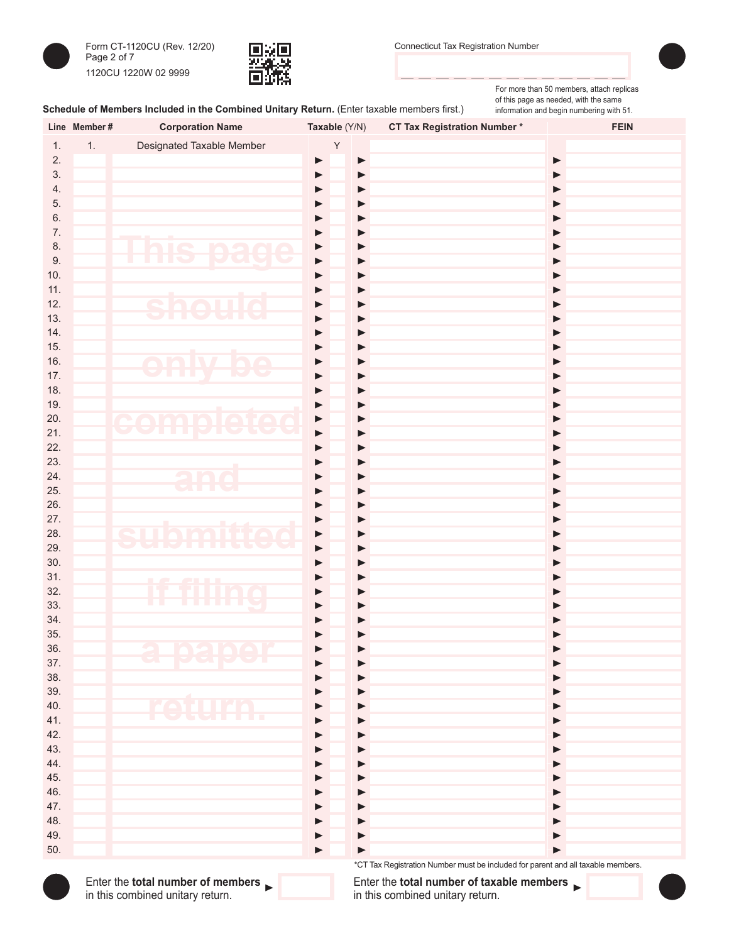



For more than 50 members, attach replicas

## Schedule of Members Included in the Combined Unitary Return. (Enter taxable members first.)

of this page as needed, with the same information and begin numbering with 51.

| <b>Designated Taxable Member</b><br>1.<br>Υ<br>1.<br>2.<br>$\blacktriangleright$<br>$\blacktriangleright$<br>▶<br>3.<br>$\blacktriangleright$<br>$\blacktriangleright$<br>$\blacktriangleright$<br>4.<br>▶<br>▶<br>▶<br>5.<br>▶<br>▶<br>▶<br>6.<br>▶<br>▶<br>▶<br>7.<br>$\blacktriangleright$<br>▶<br>▶<br>hie<br>8.<br>n s<br>$\blacktriangleright$<br>$\mathbf{\Omega}$<br>▶<br>▶<br>$\sqrt{2}$<br>$\overline{\phantom{0}}$<br>TR<br>$\overline{C}$<br>9.<br>ш<br>٠<br>▶<br>▶<br>▶<br>10.<br>▶<br>$\blacktriangleright$<br>▶<br>11.<br>▶<br>▶<br>▶<br>12.<br>$\bigcap$<br>T.<br>▶<br>▶<br>▶<br>$\overline{\phantom{a}}$<br>13.<br>▶<br>$\blacktriangleright$<br>▶<br>14.<br>▶<br>▶<br>▶<br>15.<br>▶<br>▶<br>▶<br>16.<br>e<br>nl<br>$\blacktriangleright$<br>٦<br>▶<br>▶<br>w<br><b>CONTRACT</b><br>17.<br>▶<br>$\blacktriangleright$<br>▶<br>18.<br>▶<br>$\blacktriangleright$<br>▶<br>19.<br>▶<br>$\blacktriangleright$<br>▶<br>20.<br>CAMAIA<br>TA<br>▶<br>$\blacktriangleright$<br>▶<br><b>THE RE</b><br>21.<br>▶<br>▶<br>$\blacktriangleright$<br>22.<br>▶<br>$\blacktriangleright$<br>▶<br>23.<br>$\blacktriangleright$<br>▶<br>24.<br>anc<br>$\blacktriangleright$<br>▶<br>▶<br>25.<br>▶<br>$\blacktriangleright$<br>26.<br>▶<br>▶<br>27.<br>$\blacktriangleright$<br>▶<br>▶<br>28.<br>S<br>THE<br><b>TIME</b><br>$\Box$<br>▶<br>▶<br>▶<br>٠<br>a m<br>29.<br>▶<br>▶<br>▶<br>30.<br>▶<br>▶<br>31.<br>▶<br>▶<br><b>ALL LE</b><br>T 1<br>32.<br><b>THING</b><br>▶<br>▶<br>33.<br>▶<br>▶<br>▶<br>34.<br>▶<br>▶<br>35.<br>mamar<br>36.<br><b>Pupti</b><br>37.<br>38.<br>39.<br>40.<br><u>ra</u><br>T L L 27<br><b>COLLEGE</b><br>T<br><b>The Contract</b><br>41.<br>42.<br>▶<br>43.<br>▶<br>44.<br>▶<br>45.<br>▶<br>46.<br>▶<br>47.<br>▶<br>48.<br>▶<br>49.<br>▶<br>50.<br>▶<br>*CT Tax Registration Number must be included for parent and all taxable members. | Line Member# | <b>Corporation Name</b> | Taxable (Y/N) | <b>CT Tax Registration Number*</b> | <b>FEIN</b> |
|----------------------------------------------------------------------------------------------------------------------------------------------------------------------------------------------------------------------------------------------------------------------------------------------------------------------------------------------------------------------------------------------------------------------------------------------------------------------------------------------------------------------------------------------------------------------------------------------------------------------------------------------------------------------------------------------------------------------------------------------------------------------------------------------------------------------------------------------------------------------------------------------------------------------------------------------------------------------------------------------------------------------------------------------------------------------------------------------------------------------------------------------------------------------------------------------------------------------------------------------------------------------------------------------------------------------------------------------------------------------------------------------------------------------------------------------------------------------------------------------------------------------------------------------------------------------------------------------------------------------------------------------------------------------------------------------------------------------------------------------------------------------------------------------------------------------------------------------------------------------|--------------|-------------------------|---------------|------------------------------------|-------------|
|                                                                                                                                                                                                                                                                                                                                                                                                                                                                                                                                                                                                                                                                                                                                                                                                                                                                                                                                                                                                                                                                                                                                                                                                                                                                                                                                                                                                                                                                                                                                                                                                                                                                                                                                                                                                                                                                      |              |                         |               |                                    |             |
|                                                                                                                                                                                                                                                                                                                                                                                                                                                                                                                                                                                                                                                                                                                                                                                                                                                                                                                                                                                                                                                                                                                                                                                                                                                                                                                                                                                                                                                                                                                                                                                                                                                                                                                                                                                                                                                                      |              |                         |               |                                    |             |
|                                                                                                                                                                                                                                                                                                                                                                                                                                                                                                                                                                                                                                                                                                                                                                                                                                                                                                                                                                                                                                                                                                                                                                                                                                                                                                                                                                                                                                                                                                                                                                                                                                                                                                                                                                                                                                                                      |              |                         |               |                                    |             |
|                                                                                                                                                                                                                                                                                                                                                                                                                                                                                                                                                                                                                                                                                                                                                                                                                                                                                                                                                                                                                                                                                                                                                                                                                                                                                                                                                                                                                                                                                                                                                                                                                                                                                                                                                                                                                                                                      |              |                         |               |                                    |             |
|                                                                                                                                                                                                                                                                                                                                                                                                                                                                                                                                                                                                                                                                                                                                                                                                                                                                                                                                                                                                                                                                                                                                                                                                                                                                                                                                                                                                                                                                                                                                                                                                                                                                                                                                                                                                                                                                      |              |                         |               |                                    |             |
|                                                                                                                                                                                                                                                                                                                                                                                                                                                                                                                                                                                                                                                                                                                                                                                                                                                                                                                                                                                                                                                                                                                                                                                                                                                                                                                                                                                                                                                                                                                                                                                                                                                                                                                                                                                                                                                                      |              |                         |               |                                    |             |
|                                                                                                                                                                                                                                                                                                                                                                                                                                                                                                                                                                                                                                                                                                                                                                                                                                                                                                                                                                                                                                                                                                                                                                                                                                                                                                                                                                                                                                                                                                                                                                                                                                                                                                                                                                                                                                                                      |              |                         |               |                                    |             |
|                                                                                                                                                                                                                                                                                                                                                                                                                                                                                                                                                                                                                                                                                                                                                                                                                                                                                                                                                                                                                                                                                                                                                                                                                                                                                                                                                                                                                                                                                                                                                                                                                                                                                                                                                                                                                                                                      |              |                         |               |                                    |             |
|                                                                                                                                                                                                                                                                                                                                                                                                                                                                                                                                                                                                                                                                                                                                                                                                                                                                                                                                                                                                                                                                                                                                                                                                                                                                                                                                                                                                                                                                                                                                                                                                                                                                                                                                                                                                                                                                      |              |                         |               |                                    |             |
|                                                                                                                                                                                                                                                                                                                                                                                                                                                                                                                                                                                                                                                                                                                                                                                                                                                                                                                                                                                                                                                                                                                                                                                                                                                                                                                                                                                                                                                                                                                                                                                                                                                                                                                                                                                                                                                                      |              |                         |               |                                    |             |
|                                                                                                                                                                                                                                                                                                                                                                                                                                                                                                                                                                                                                                                                                                                                                                                                                                                                                                                                                                                                                                                                                                                                                                                                                                                                                                                                                                                                                                                                                                                                                                                                                                                                                                                                                                                                                                                                      |              |                         |               |                                    |             |
|                                                                                                                                                                                                                                                                                                                                                                                                                                                                                                                                                                                                                                                                                                                                                                                                                                                                                                                                                                                                                                                                                                                                                                                                                                                                                                                                                                                                                                                                                                                                                                                                                                                                                                                                                                                                                                                                      |              |                         |               |                                    |             |
|                                                                                                                                                                                                                                                                                                                                                                                                                                                                                                                                                                                                                                                                                                                                                                                                                                                                                                                                                                                                                                                                                                                                                                                                                                                                                                                                                                                                                                                                                                                                                                                                                                                                                                                                                                                                                                                                      |              |                         |               |                                    |             |
|                                                                                                                                                                                                                                                                                                                                                                                                                                                                                                                                                                                                                                                                                                                                                                                                                                                                                                                                                                                                                                                                                                                                                                                                                                                                                                                                                                                                                                                                                                                                                                                                                                                                                                                                                                                                                                                                      |              |                         |               |                                    |             |
|                                                                                                                                                                                                                                                                                                                                                                                                                                                                                                                                                                                                                                                                                                                                                                                                                                                                                                                                                                                                                                                                                                                                                                                                                                                                                                                                                                                                                                                                                                                                                                                                                                                                                                                                                                                                                                                                      |              |                         |               |                                    |             |
|                                                                                                                                                                                                                                                                                                                                                                                                                                                                                                                                                                                                                                                                                                                                                                                                                                                                                                                                                                                                                                                                                                                                                                                                                                                                                                                                                                                                                                                                                                                                                                                                                                                                                                                                                                                                                                                                      |              |                         |               |                                    |             |
|                                                                                                                                                                                                                                                                                                                                                                                                                                                                                                                                                                                                                                                                                                                                                                                                                                                                                                                                                                                                                                                                                                                                                                                                                                                                                                                                                                                                                                                                                                                                                                                                                                                                                                                                                                                                                                                                      |              |                         |               |                                    |             |
|                                                                                                                                                                                                                                                                                                                                                                                                                                                                                                                                                                                                                                                                                                                                                                                                                                                                                                                                                                                                                                                                                                                                                                                                                                                                                                                                                                                                                                                                                                                                                                                                                                                                                                                                                                                                                                                                      |              |                         |               |                                    |             |
|                                                                                                                                                                                                                                                                                                                                                                                                                                                                                                                                                                                                                                                                                                                                                                                                                                                                                                                                                                                                                                                                                                                                                                                                                                                                                                                                                                                                                                                                                                                                                                                                                                                                                                                                                                                                                                                                      |              |                         |               |                                    |             |
|                                                                                                                                                                                                                                                                                                                                                                                                                                                                                                                                                                                                                                                                                                                                                                                                                                                                                                                                                                                                                                                                                                                                                                                                                                                                                                                                                                                                                                                                                                                                                                                                                                                                                                                                                                                                                                                                      |              |                         |               |                                    |             |
|                                                                                                                                                                                                                                                                                                                                                                                                                                                                                                                                                                                                                                                                                                                                                                                                                                                                                                                                                                                                                                                                                                                                                                                                                                                                                                                                                                                                                                                                                                                                                                                                                                                                                                                                                                                                                                                                      |              |                         |               |                                    |             |
|                                                                                                                                                                                                                                                                                                                                                                                                                                                                                                                                                                                                                                                                                                                                                                                                                                                                                                                                                                                                                                                                                                                                                                                                                                                                                                                                                                                                                                                                                                                                                                                                                                                                                                                                                                                                                                                                      |              |                         |               |                                    |             |
|                                                                                                                                                                                                                                                                                                                                                                                                                                                                                                                                                                                                                                                                                                                                                                                                                                                                                                                                                                                                                                                                                                                                                                                                                                                                                                                                                                                                                                                                                                                                                                                                                                                                                                                                                                                                                                                                      |              |                         |               |                                    |             |
|                                                                                                                                                                                                                                                                                                                                                                                                                                                                                                                                                                                                                                                                                                                                                                                                                                                                                                                                                                                                                                                                                                                                                                                                                                                                                                                                                                                                                                                                                                                                                                                                                                                                                                                                                                                                                                                                      |              |                         |               |                                    |             |
|                                                                                                                                                                                                                                                                                                                                                                                                                                                                                                                                                                                                                                                                                                                                                                                                                                                                                                                                                                                                                                                                                                                                                                                                                                                                                                                                                                                                                                                                                                                                                                                                                                                                                                                                                                                                                                                                      |              |                         |               |                                    |             |
|                                                                                                                                                                                                                                                                                                                                                                                                                                                                                                                                                                                                                                                                                                                                                                                                                                                                                                                                                                                                                                                                                                                                                                                                                                                                                                                                                                                                                                                                                                                                                                                                                                                                                                                                                                                                                                                                      |              |                         |               |                                    |             |
|                                                                                                                                                                                                                                                                                                                                                                                                                                                                                                                                                                                                                                                                                                                                                                                                                                                                                                                                                                                                                                                                                                                                                                                                                                                                                                                                                                                                                                                                                                                                                                                                                                                                                                                                                                                                                                                                      |              |                         |               |                                    |             |
|                                                                                                                                                                                                                                                                                                                                                                                                                                                                                                                                                                                                                                                                                                                                                                                                                                                                                                                                                                                                                                                                                                                                                                                                                                                                                                                                                                                                                                                                                                                                                                                                                                                                                                                                                                                                                                                                      |              |                         |               |                                    |             |
|                                                                                                                                                                                                                                                                                                                                                                                                                                                                                                                                                                                                                                                                                                                                                                                                                                                                                                                                                                                                                                                                                                                                                                                                                                                                                                                                                                                                                                                                                                                                                                                                                                                                                                                                                                                                                                                                      |              |                         |               |                                    |             |
|                                                                                                                                                                                                                                                                                                                                                                                                                                                                                                                                                                                                                                                                                                                                                                                                                                                                                                                                                                                                                                                                                                                                                                                                                                                                                                                                                                                                                                                                                                                                                                                                                                                                                                                                                                                                                                                                      |              |                         |               |                                    |             |
|                                                                                                                                                                                                                                                                                                                                                                                                                                                                                                                                                                                                                                                                                                                                                                                                                                                                                                                                                                                                                                                                                                                                                                                                                                                                                                                                                                                                                                                                                                                                                                                                                                                                                                                                                                                                                                                                      |              |                         |               |                                    |             |
|                                                                                                                                                                                                                                                                                                                                                                                                                                                                                                                                                                                                                                                                                                                                                                                                                                                                                                                                                                                                                                                                                                                                                                                                                                                                                                                                                                                                                                                                                                                                                                                                                                                                                                                                                                                                                                                                      |              |                         |               |                                    |             |
|                                                                                                                                                                                                                                                                                                                                                                                                                                                                                                                                                                                                                                                                                                                                                                                                                                                                                                                                                                                                                                                                                                                                                                                                                                                                                                                                                                                                                                                                                                                                                                                                                                                                                                                                                                                                                                                                      |              |                         |               |                                    |             |
|                                                                                                                                                                                                                                                                                                                                                                                                                                                                                                                                                                                                                                                                                                                                                                                                                                                                                                                                                                                                                                                                                                                                                                                                                                                                                                                                                                                                                                                                                                                                                                                                                                                                                                                                                                                                                                                                      |              |                         |               |                                    |             |
|                                                                                                                                                                                                                                                                                                                                                                                                                                                                                                                                                                                                                                                                                                                                                                                                                                                                                                                                                                                                                                                                                                                                                                                                                                                                                                                                                                                                                                                                                                                                                                                                                                                                                                                                                                                                                                                                      |              |                         |               |                                    |             |
|                                                                                                                                                                                                                                                                                                                                                                                                                                                                                                                                                                                                                                                                                                                                                                                                                                                                                                                                                                                                                                                                                                                                                                                                                                                                                                                                                                                                                                                                                                                                                                                                                                                                                                                                                                                                                                                                      |              |                         |               |                                    |             |
|                                                                                                                                                                                                                                                                                                                                                                                                                                                                                                                                                                                                                                                                                                                                                                                                                                                                                                                                                                                                                                                                                                                                                                                                                                                                                                                                                                                                                                                                                                                                                                                                                                                                                                                                                                                                                                                                      |              |                         |               |                                    |             |
|                                                                                                                                                                                                                                                                                                                                                                                                                                                                                                                                                                                                                                                                                                                                                                                                                                                                                                                                                                                                                                                                                                                                                                                                                                                                                                                                                                                                                                                                                                                                                                                                                                                                                                                                                                                                                                                                      |              |                         |               |                                    |             |
|                                                                                                                                                                                                                                                                                                                                                                                                                                                                                                                                                                                                                                                                                                                                                                                                                                                                                                                                                                                                                                                                                                                                                                                                                                                                                                                                                                                                                                                                                                                                                                                                                                                                                                                                                                                                                                                                      |              |                         |               |                                    |             |
|                                                                                                                                                                                                                                                                                                                                                                                                                                                                                                                                                                                                                                                                                                                                                                                                                                                                                                                                                                                                                                                                                                                                                                                                                                                                                                                                                                                                                                                                                                                                                                                                                                                                                                                                                                                                                                                                      |              |                         |               |                                    |             |
|                                                                                                                                                                                                                                                                                                                                                                                                                                                                                                                                                                                                                                                                                                                                                                                                                                                                                                                                                                                                                                                                                                                                                                                                                                                                                                                                                                                                                                                                                                                                                                                                                                                                                                                                                                                                                                                                      |              |                         |               |                                    |             |
|                                                                                                                                                                                                                                                                                                                                                                                                                                                                                                                                                                                                                                                                                                                                                                                                                                                                                                                                                                                                                                                                                                                                                                                                                                                                                                                                                                                                                                                                                                                                                                                                                                                                                                                                                                                                                                                                      |              |                         |               |                                    |             |
|                                                                                                                                                                                                                                                                                                                                                                                                                                                                                                                                                                                                                                                                                                                                                                                                                                                                                                                                                                                                                                                                                                                                                                                                                                                                                                                                                                                                                                                                                                                                                                                                                                                                                                                                                                                                                                                                      |              |                         |               |                                    |             |
|                                                                                                                                                                                                                                                                                                                                                                                                                                                                                                                                                                                                                                                                                                                                                                                                                                                                                                                                                                                                                                                                                                                                                                                                                                                                                                                                                                                                                                                                                                                                                                                                                                                                                                                                                                                                                                                                      |              |                         |               |                                    |             |
|                                                                                                                                                                                                                                                                                                                                                                                                                                                                                                                                                                                                                                                                                                                                                                                                                                                                                                                                                                                                                                                                                                                                                                                                                                                                                                                                                                                                                                                                                                                                                                                                                                                                                                                                                                                                                                                                      |              |                         |               |                                    |             |
|                                                                                                                                                                                                                                                                                                                                                                                                                                                                                                                                                                                                                                                                                                                                                                                                                                                                                                                                                                                                                                                                                                                                                                                                                                                                                                                                                                                                                                                                                                                                                                                                                                                                                                                                                                                                                                                                      |              |                         |               |                                    |             |
|                                                                                                                                                                                                                                                                                                                                                                                                                                                                                                                                                                                                                                                                                                                                                                                                                                                                                                                                                                                                                                                                                                                                                                                                                                                                                                                                                                                                                                                                                                                                                                                                                                                                                                                                                                                                                                                                      |              |                         |               |                                    |             |
|                                                                                                                                                                                                                                                                                                                                                                                                                                                                                                                                                                                                                                                                                                                                                                                                                                                                                                                                                                                                                                                                                                                                                                                                                                                                                                                                                                                                                                                                                                                                                                                                                                                                                                                                                                                                                                                                      |              |                         |               |                                    |             |
|                                                                                                                                                                                                                                                                                                                                                                                                                                                                                                                                                                                                                                                                                                                                                                                                                                                                                                                                                                                                                                                                                                                                                                                                                                                                                                                                                                                                                                                                                                                                                                                                                                                                                                                                                                                                                                                                      |              |                         |               |                                    |             |
|                                                                                                                                                                                                                                                                                                                                                                                                                                                                                                                                                                                                                                                                                                                                                                                                                                                                                                                                                                                                                                                                                                                                                                                                                                                                                                                                                                                                                                                                                                                                                                                                                                                                                                                                                                                                                                                                      |              |                         |               |                                    |             |

Enter the **total number of members** in this combined unitary return.

Enter the **total number of taxable members** in this combined unitary return.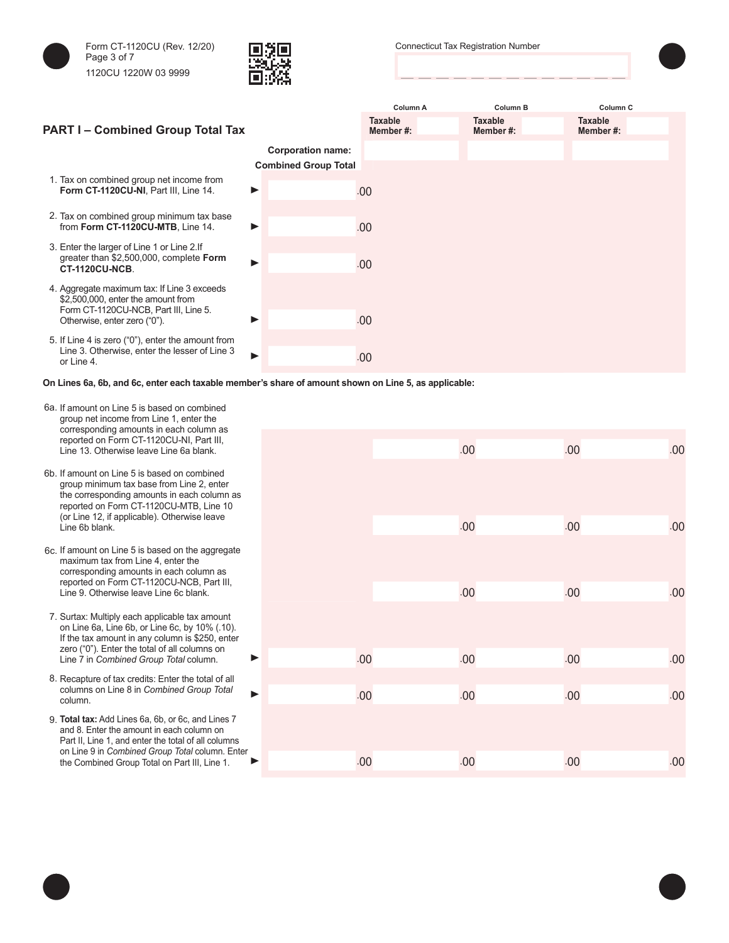



Connecticut Tax Registration Number



## **Column A Column B Column C PART I – Combined Group Total Tax Taxable Member #: Taxable Member #: Taxable Member #: Corporation name: Combined Group Total** 1. Tax on combined group net income from **Form CT-1120CU-NI**, Part III, Line 14. .00 2. Tax on combined group minimum tax base from **Form CT-1120CU-MTB**, Line 14.  $\blacktriangleright$   $\blacksquare$ 3. Enter the larger of Line 1 or Line 2.If greater than \$2,500,000, complete **Form CT-1120CU-NCB**. .00 4. Aggregate maximum tax: If Line 3 exceeds \$2,500,000, enter the amount from Form CT-1120CU-NCB, Part III, Line 5. Otherwise, enter zero ("0"). .00 5. If Line 4 is zero ("0"), enter the amount from Line 3. Otherwise, enter the lesser of Line 3 or Line 4. .00

**On Lines 6a, 6b, and 6c, enter each taxable member's share of amount shown on Line 5, as applicable:**

- 6a. If amount on Line 5 is based on combined group net income from Line 1, enter the corresponding amounts in each column as reported on Form CT-1120CU-NI, Part III, Line 13. Otherwise leave Line 6a blank.
- 6b. If amount on Line 5 is based on combined group minimum tax base from Line 2, enter the corresponding amounts in each column as reported on Form CT-1120CU-MTB, Line 10 (or Line 12, if applicable). Otherwise leave
- 6c. If amount on Line 5 is based on the aggregate maximum tax from Line 4, enter the corresponding amounts in each column as reported on Form CT-1120CU-NCB, Part III, Line 9. Otherwise leave Line 6c blank.
- 7. Surtax: Multiply each applicable tax amount on Line 6a, Line 6b, or Line 6c, by 10% (.10). If the tax amount in any column is \$250, enter zero ("0"). Enter the total of all columns on Line 7 in *Combined Group Total* column.
- 8. Recapture of tax credits: Enter the total of all columns on Line 8 in *Combined Group Total*
- 9. **Total tax:** Add Lines 6a, 6b, or 6c, and Lines 7 and 8. Enter the amount in each column on Part II, Line 1, and enter the total of all columns on Line 9 in *Combined Group Total* column. Enter the Combined Group Total on Part III, Line 1.

| concept namig arrivante in oach colamni<br>reported on Form CT-1120CU-NI, Part III,<br>Line 13. Otherwise leave Line 6a blank.                                                                    |     | .00 | .00 | .00 |
|---------------------------------------------------------------------------------------------------------------------------------------------------------------------------------------------------|-----|-----|-----|-----|
| If amount on Line 5 is based on combined<br>group minimum tax base from Line 2, enter<br>the corresponding amounts in each column as<br>reported on Form CT-1120CU-MTB, Line 10                   |     |     |     |     |
| (or Line 12, if applicable). Otherwise leave<br>Line 6b blank.                                                                                                                                    |     | .00 | .00 | .00 |
| If amount on Line 5 is based on the aggregate<br>maximum tax from Line 4, enter the<br>corresponding amounts in each column as                                                                    |     |     |     |     |
| reported on Form CT-1120CU-NCB, Part III,<br>Line 9. Otherwise leave Line 6c blank.                                                                                                               |     | .00 | .00 | .00 |
| Surtax: Multiply each applicable tax amount<br>on Line 6a, Line 6b, or Line 6c, by 10% (.10).<br>If the tax amount in any column is \$250, enter<br>zero ("0"). Enter the total of all columns on |     |     |     |     |
| ▶<br>Line 7 in Combined Group Total column.                                                                                                                                                       | .00 | .00 | .00 | .00 |
| Recapture of tax credits: Enter the total of all<br>columns on Line 8 in Combined Group Total<br>ь<br>column.                                                                                     | .00 | .00 | .00 | .00 |
| Total tax: Add Lines 6a, 6b, or 6c, and Lines 7<br>and 8. Enter the amount in each column on<br>Part II, Line 1, and enter the total of all columns                                               |     |     |     |     |
| on Line 9 in Combined Group Total column. Enter<br>the Combined Group Total on Part III, Line 1.                                                                                                  | .00 | .00 | .00 | .00 |
|                                                                                                                                                                                                   |     |     |     |     |

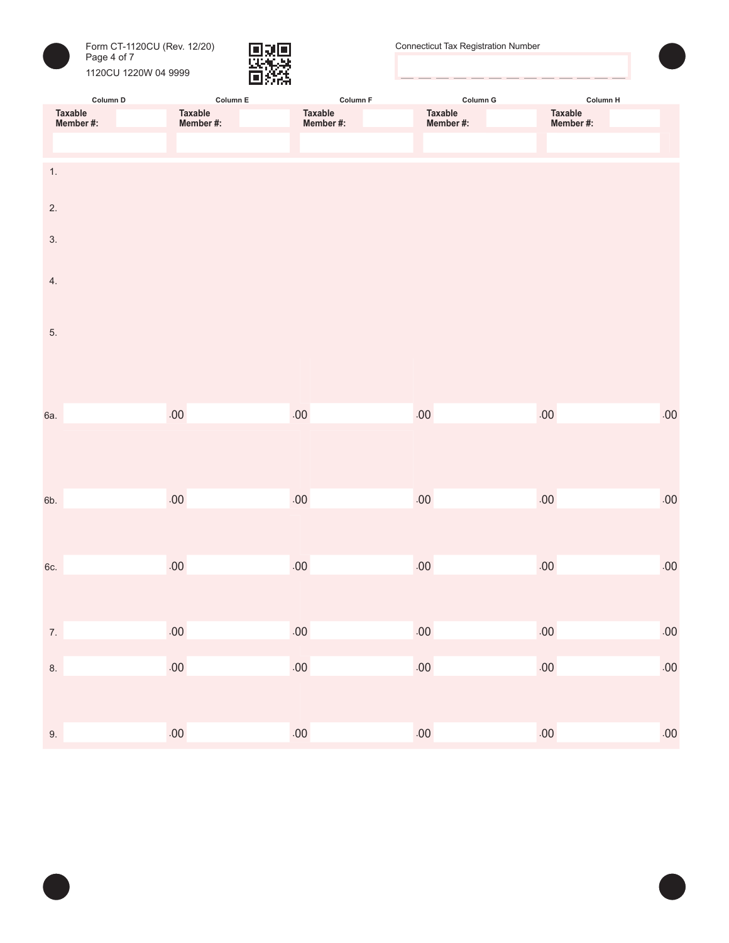



| Column D                    | Column $E$           | Column F                    | Column G             | Column H             |         |
|-----------------------------|----------------------|-----------------------------|----------------------|----------------------|---------|
| <b>Taxable</b><br>Member #: | Taxable<br>Member #: | <b>Taxable</b><br>Member #: | Taxable<br>Member #: | Taxable<br>Member #: |         |
|                             |                      |                             |                      |                      |         |
| 1.                          |                      |                             |                      |                      |         |
| 2.                          |                      |                             |                      |                      |         |
| 3.                          |                      |                             |                      |                      |         |
| 4.                          |                      |                             |                      |                      |         |
| 5.                          |                      |                             |                      |                      |         |
|                             |                      |                             |                      |                      |         |
|                             |                      |                             |                      |                      |         |
| 6a.                         | $.00\,$              | $.00\,$                     | $.00\,$              | $.00\,$              | $.00\,$ |
|                             |                      |                             |                      |                      |         |
| 6b.                         | $.00\,$              | $.00\,$                     | .00                  | $.00\,$              | $.00\,$ |
|                             |                      |                             |                      |                      |         |
| 6c.                         | $.00\,$              | $.00\,$                     | .00                  | $.00\,$              | .00     |
|                             |                      |                             |                      |                      |         |
| 7.                          | .00                  | $.00\,$                     | $.00\,$              | .00                  | .00     |
| 8.                          | $.00\,$              | $.00\,$                     | $.00\,$              | $.00\,$              | .00     |
|                             |                      |                             |                      |                      |         |
| 9.                          | $.00\,$              | $.00\,$                     | $.00\,$              | $.00\,$              | .00     |

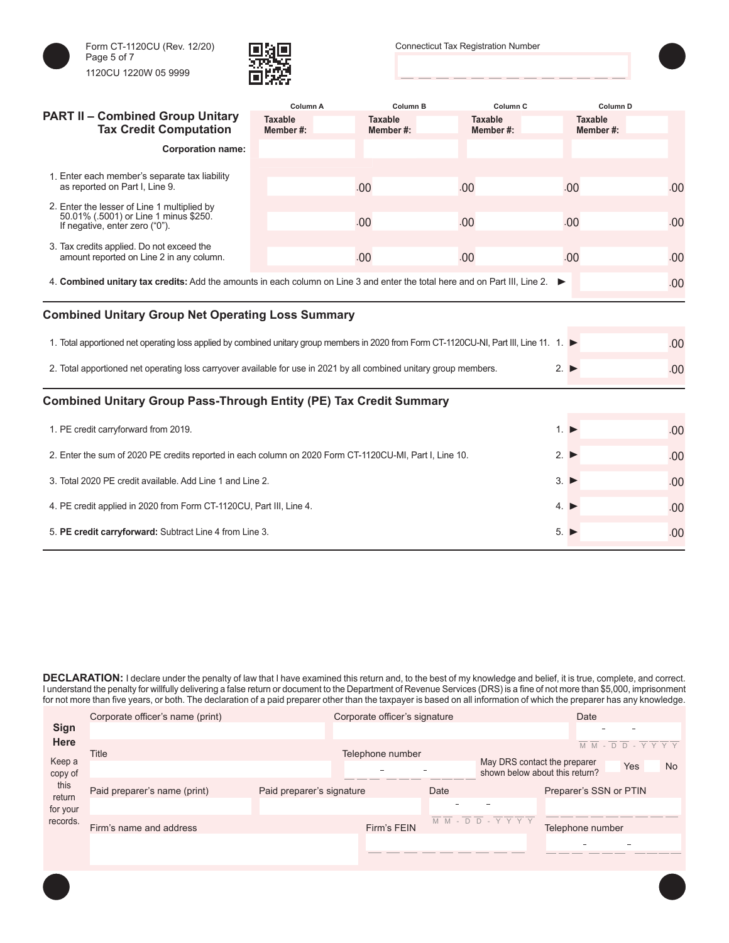





|                                                                                                                                         | Column A                   | Column B                   | Column <sub>C</sub>        | Column <sub>D</sub>        |     |
|-----------------------------------------------------------------------------------------------------------------------------------------|----------------------------|----------------------------|----------------------------|----------------------------|-----|
| <b>PART II - Combined Group Unitary</b><br><b>Tax Credit Computation</b>                                                                | <b>Taxable</b><br>Member#: | <b>Taxable</b><br>Member#: | <b>Taxable</b><br>Member#: | <b>Taxable</b><br>Member#: |     |
| <b>Corporation name:</b>                                                                                                                |                            |                            |                            |                            |     |
|                                                                                                                                         |                            |                            |                            |                            |     |
| 1. Enter each member's separate tax liability<br>as reported on Part I, Line 9.                                                         |                            | .00                        | .00                        | .00                        | .00 |
| 2. Enter the lesser of Line 1 multiplied by<br>50.01% (.5001) or Line 1 minus \$250.<br>If negative, enter zero ("0").                  |                            | .00                        | .00                        | .00                        | .00 |
|                                                                                                                                         |                            |                            |                            |                            |     |
| 3. Tax credits applied. Do not exceed the<br>amount reported on Line 2 in any column.                                                   |                            | .00                        | .00                        | .00                        | .00 |
| 4. Combined unitary tax credits: Add the amounts in each column on Line 3 and enter the total here and on Part III, Line 2.             |                            |                            |                            | ▸                          | .00 |
| <b>Combined Unitary Group Net Operating Loss Summary</b>                                                                                |                            |                            |                            |                            |     |
|                                                                                                                                         |                            |                            |                            |                            |     |
| 1. Total apportioned net operating loss applied by combined unitary group members in 2020 from Form CT-1120CU-NI, Part III, Line 11. 1. |                            |                            |                            |                            | .00 |
| 2. Total apportioned net operating loss carryover available for use in 2021 by all combined unitary group members.                      |                            |                            |                            | $2. \triangleright$        | .00 |
| <b>Combined Unitary Group Pass-Through Entity (PE) Tax Credit Summary</b>                                                               |                            |                            |                            |                            |     |
| 1. PE credit carryforward from 2019.                                                                                                    |                            |                            |                            | 1.                         | .00 |
|                                                                                                                                         |                            |                            |                            |                            |     |
| 2. Enter the sum of 2020 PE credits reported in each column on 2020 Form CT-1120CU-MI, Part I, Line 10.                                 |                            | $2. \triangleright$        | .00                        |                            |     |
| 3. Total 2020 PE credit available. Add Line 1 and Line 2.                                                                               |                            | $3. \triangleright$        | .00                        |                            |     |
| 4. PE credit applied in 2020 from Form CT-1120CU, Part III, Line 4.                                                                     |                            | 4.                         | .00                        |                            |     |
| 5. PE credit carryforward: Subtract Line 4 from Line 3.                                                                                 | 5.                         | .00                        |                            |                            |     |

**DECLARATION:** I declare under the penalty of law that I have examined this return and, to the best of my knowledge and belief, it is true, complete, and correct. I understand the penalty for willfully delivering a false return or document to the Department of Revenue Services (DRS) is a fine of not more than \$5,000, imprisonment for not more than five years, or both. The declaration of a paid preparer other than the taxpayer is based on all information of which the preparer has any knowledge.

|                                        | Corporate officer's name (print) |                           | Corporate officer's signature |               |                                                                | Date                   |     |         |
|----------------------------------------|----------------------------------|---------------------------|-------------------------------|---------------|----------------------------------------------------------------|------------------------|-----|---------|
| <b>Sign</b>                            |                                  |                           |                               |               |                                                                |                        |     |         |
| <b>Here</b>                            | Title                            |                           | Telephone number              |               |                                                                | $M M - D D -$          |     | Y Y Y Y |
| Keep a<br>copy of                      |                                  |                           |                               |               | May DRS contact the preparer<br>shown below about this return? |                        | Yes | No.     |
| this<br>return<br>for your<br>records. | Paid preparer's name (print)     | Paid preparer's signature |                               | Date          |                                                                | Preparer's SSN or PTIN |     |         |
|                                        | Firm's name and address          |                           | Firm's FEIN                   | M M<br>$\sim$ | $D$ $D$ - $Y$ $Y$ $Y$ $Y$                                      | Telephone number       |     |         |
|                                        |                                  |                           |                               |               |                                                                |                        |     |         |
|                                        |                                  |                           |                               |               |                                                                |                        |     |         |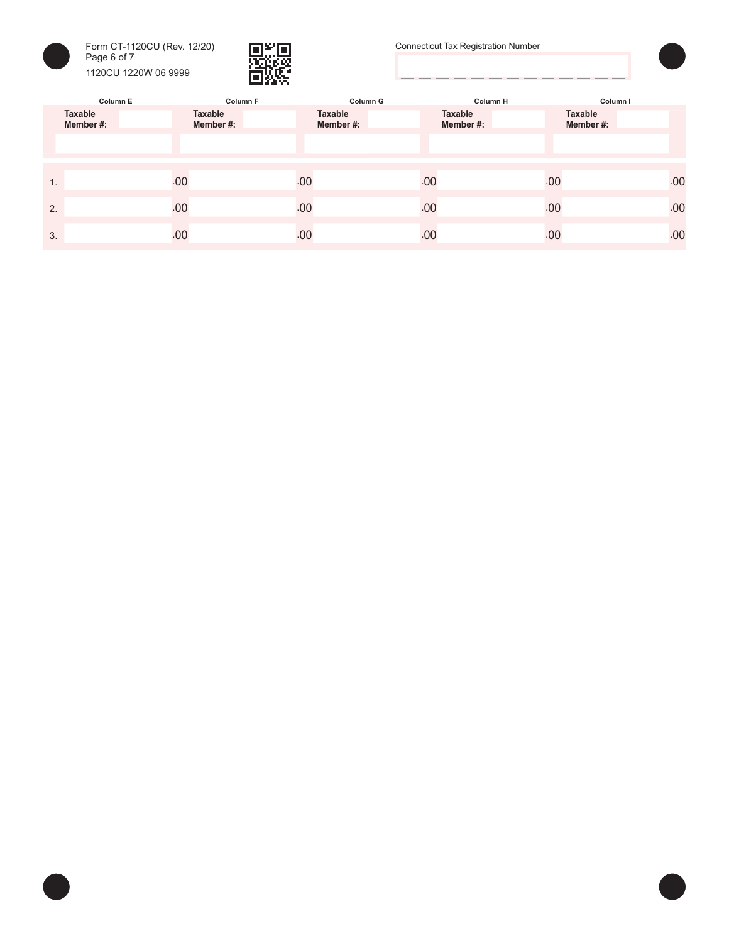



Connecticut Tax Registration Number



|                      | Column E<br><b>Column F</b> | <b>Column G</b>     | <b>Column H</b>     |                            | Column I |
|----------------------|-----------------------------|---------------------|---------------------|----------------------------|----------|
| Taxable<br>Member #: | <b>Taxable</b><br>Member#:  | Taxable<br>Member#: | Taxable<br>Member#: | <b>Taxable</b><br>Member#: |          |
|                      |                             |                     |                     |                            |          |
|                      |                             |                     |                     |                            |          |
| 1.                   | .00                         | .00                 | .00                 | .00                        | .00      |
| 2.                   | .00                         | .00                 | .00                 | .00                        | .00      |
| 3.                   | .00                         | .00                 | .00                 | .00                        | .00      |